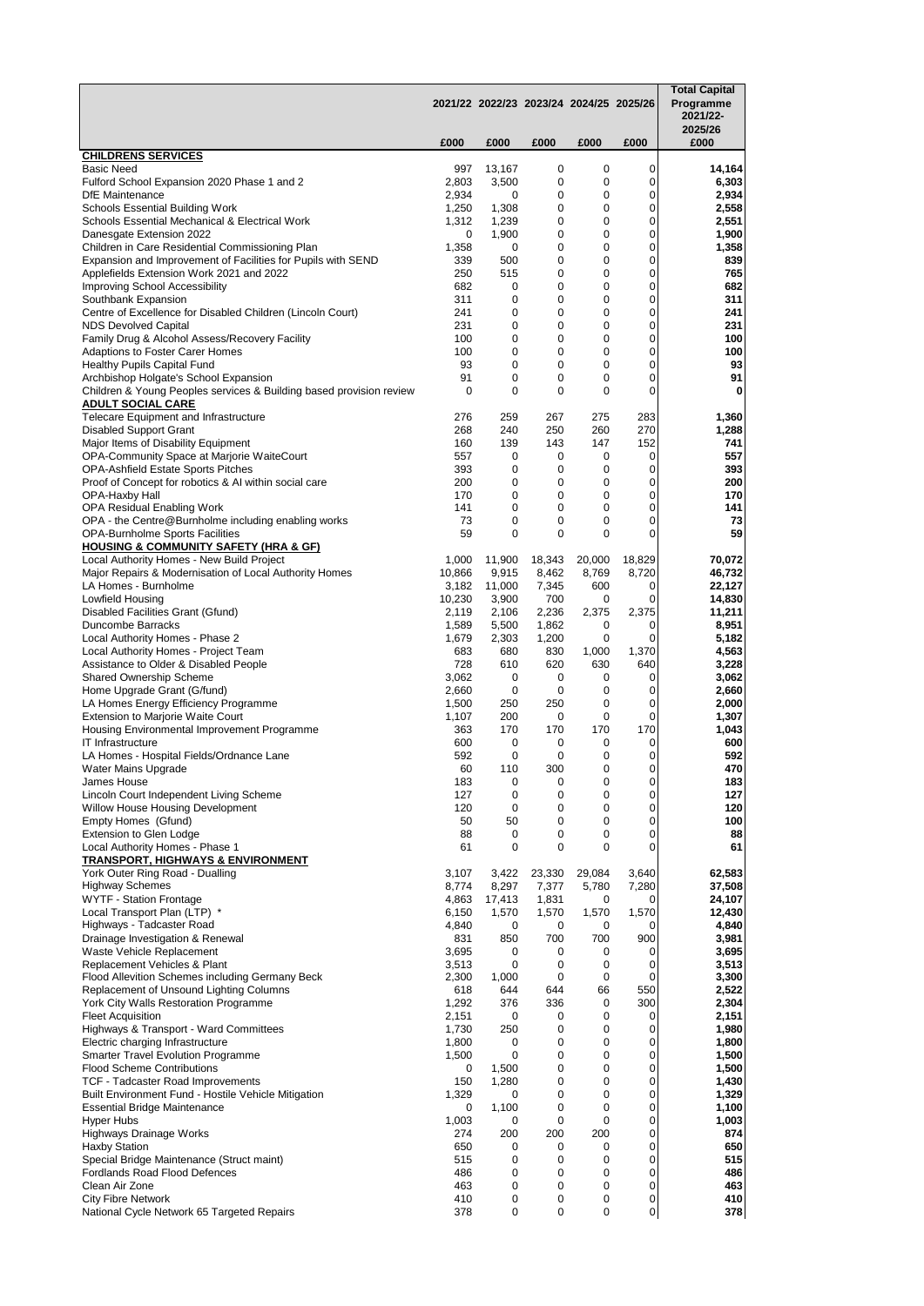|                                                                                                                 |                 |                | 2021/22 2022/23 2023/24 2024/25 2025/26 |                  |                | <b>Total Capital</b><br>Programme<br>2021/22-<br>2025/26 |
|-----------------------------------------------------------------------------------------------------------------|-----------------|----------------|-----------------------------------------|------------------|----------------|----------------------------------------------------------|
|                                                                                                                 | £000            | £000           | £000                                    | £000             | £000           | £000                                                     |
| <b>CHILDRENS SERVICES</b><br><b>Basic Need</b>                                                                  | 997             | 13,167         | 0                                       | 0                | 0              | 14,164                                                   |
| Fulford School Expansion 2020 Phase 1 and 2                                                                     | 2,803           | 3,500          | 0                                       | 0                | 0              | 6,303                                                    |
| <b>DfE</b> Maintenance<br><b>Schools Essential Building Work</b>                                                | 2,934<br>1,250  | 0<br>1,308     | 0<br>0                                  | 0<br>0           | 0<br>0         | 2,934<br>2,558                                           |
| Schools Essential Mechanical & Electrical Work                                                                  | 1,312           | 1,239          | 0                                       | 0                | 0              | 2,551                                                    |
| Danesgate Extension 2022                                                                                        | 0               | 1,900          | 0                                       | 0                | 0              | 1,900                                                    |
| Children in Care Residential Commissioning Plan<br>Expansion and Improvement of Facilities for Pupils with SEND | 1,358<br>339    | 0<br>500       | 0<br>0                                  | $\mathbf 0$<br>0 | 0<br>0         | 1,358<br>839                                             |
| Applefields Extension Work 2021 and 2022                                                                        | 250             | 515            | 0                                       | 0                | 0              | 765                                                      |
| Improving School Accessibility                                                                                  | 682             | 0              | 0                                       | 0                | 0              | 682                                                      |
| Southbank Expansion                                                                                             | 311             | 0              | 0                                       | 0                | 0              | 311                                                      |
| Centre of Excellence for Disabled Children (Lincoln Court)<br><b>NDS Devolved Capital</b>                       | 241<br>231      | 0<br>0         | 0<br>0                                  | 0<br>0           | 0<br>0         | 241<br>231                                               |
| Family Drug & Alcohol Assess/Recovery Facility                                                                  | 100             | 0              | 0                                       | 0                | 0              | 100                                                      |
| Adaptions to Foster Carer Homes                                                                                 | 100             | 0              | 0                                       | 0                | 0              | 100                                                      |
| <b>Healthy Pupils Capital Fund</b><br>Archbishop Holgate's School Expansion                                     | 93<br>91        | 0<br>0         | 0<br>0                                  | 0<br>0           | 0<br>0         | 93<br>91                                                 |
| Children & Young Peoples services & Building based provision review                                             | 0               | 0              | 0                                       | 0                | 0              | 0                                                        |
| <b>ADULT SOCIAL CARE</b>                                                                                        |                 |                |                                         |                  |                |                                                          |
| Telecare Equipment and Infrastructure<br><b>Disabled Support Grant</b>                                          | 276<br>268      | 259<br>240     | 267<br>250                              | 275<br>260       | 283<br>270     | 1,360<br>1,288                                           |
| Major Items of Disability Equipment                                                                             | 160             | 139            | 143                                     | 147              | 152            | 741                                                      |
| OPA-Community Space at Marjorie WaiteCourt                                                                      | 557             | 0              | 0                                       | 0                | 0              | 557                                                      |
| <b>OPA-Ashfield Estate Sports Pitches</b>                                                                       | 393             | 0              | 0                                       | 0                | 0              | 393                                                      |
| Proof of Concept for robotics & AI within social care<br>OPA-Haxby Hall                                         | 200<br>170      | 0<br>0         | 0<br>0                                  | 0<br>0           | 0<br>0         | 200<br>170                                               |
| OPA Residual Enabling Work                                                                                      | 141             | 0              | 0                                       | 0                | 0              | 141                                                      |
| OPA - the Centre@Burnholme including enabling works                                                             | 73              | 0              | 0                                       | 0                | 0              | 73                                                       |
| <b>OPA-Burnholme Sports Facilities</b><br><b>HOUSING &amp; COMMUNITY SAFETY (HRA &amp; GF)</b>                  | 59              | 0              | 0                                       | 0                | 0              | 59                                                       |
| Local Authority Homes - New Build Project                                                                       | 1,000           | 11,900         | 18,343                                  | 20,000           | 18,829         | 70,072                                                   |
| Major Repairs & Modernisation of Local Authority Homes                                                          | 10,866          | 9,915          | 8,462                                   | 8,769            | 8,720          | 46,732                                                   |
| LA Homes - Burnholme                                                                                            | 3,182           | 11,000         | 7,345                                   | 600              | 0<br>0         | 22,127                                                   |
| Lowfield Housing<br>Disabled Facilities Grant (Gfund)                                                           | 10,230<br>2,119 | 3,900<br>2,106 | 700<br>2,236                            | 0<br>2,375       | 2,375          | 14,830<br>11,211                                         |
| <b>Duncombe Barracks</b>                                                                                        | 1,589           | 5,500          | 1,862                                   | 0                | 0              | 8,951                                                    |
| Local Authority Homes - Phase 2                                                                                 | 1,679           | 2,303          | 1,200                                   | 0                | 0              | 5,182                                                    |
| Local Authority Homes - Project Team<br>Assistance to Older & Disabled People                                   | 683<br>728      | 680<br>610     | 830<br>620                              | 1,000<br>630     | 1,370<br>640   | 4,563<br>3,228                                           |
| Shared Ownership Scheme                                                                                         | 3,062           | 0              | 0                                       | 0                | 0              | 3,062                                                    |
| Home Upgrade Grant (G/fund)                                                                                     | 2,660           | 0              | 0                                       | 0                | 0              | 2,660                                                    |
| LA Homes Energy Efficiency Programme<br><b>Extension to Marjorie Waite Court</b>                                | 1,500<br>1,107  | 250<br>200     | 250<br>0                                | 0<br>0           | 0<br>0         | 2,000<br>1,307                                           |
| Housing Environmental Improvement Programme                                                                     | 363             | 170            | 170                                     | 170              | 170            | 1,043                                                    |
| IT Infrastructure                                                                                               | 600             | 0              | 0                                       | 0                | 0              | 600                                                      |
| LA Homes - Hospital Fields/Ordnance Lane                                                                        | 592<br>60       | 0<br>110       | 0<br>300                                | 0<br>0           | 0<br>0         | 592<br>470                                               |
| Water Mains Upgrade<br>James House                                                                              | 183             | o              | O                                       | O                | 0              | 183                                                      |
| Lincoln Court Independent Living Scheme                                                                         | 127             | 0              | 0                                       | 0                | 0              | 127                                                      |
| Willow House Housing Development                                                                                | 120             | 0              | 0                                       | 0                | 0              | 120                                                      |
| Empty Homes (Gfund)<br>Extension to Glen Lodge                                                                  | 50<br>88        | 50<br>0        | 0<br>0                                  | 0<br>0           | 0<br>0         | 100<br>88                                                |
| Local Authority Homes - Phase 1                                                                                 | 61              | 0              | 0                                       | 0                | 0              | 61                                                       |
| <u>TRANSPORT, HIGHWAYS &amp; ENVIRONMENT</u>                                                                    |                 |                |                                         |                  |                |                                                          |
| York Outer Ring Road - Dualling<br><b>Highway Schemes</b>                                                       | 3,107<br>8,774  | 3,422<br>8,297 | 23,330<br>7,377                         | 29,084<br>5,780  | 3,640<br>7,280 | 62,583<br>37,508                                         |
| <b>WYTF - Station Frontage</b>                                                                                  | 4,863           | 17,413         | 1,831                                   | 0                | 0              | 24,107                                                   |
| Local Transport Plan (LTP) *                                                                                    | 6,150           | 1,570          | 1,570                                   | 1,570            | 1,570          | 12,430                                                   |
| Highways - Tadcaster Road<br>Drainage Investigation & Renewal                                                   | 4,840<br>831    | 0<br>850       | 0<br>700                                | 0<br>700         | 0<br>900       | 4,840<br>3,981                                           |
| Waste Vehicle Replacement                                                                                       | 3,695           | 0              | 0                                       | 0                | 0              | 3,695                                                    |
| Replacement Vehicles & Plant                                                                                    | 3,513           | 0              | 0                                       | 0                | 0              | 3,513                                                    |
| Flood Allevition Schemes including Germany Beck                                                                 | 2,300           | 1,000          | 0                                       | 0                | 0<br>550       | 3,300                                                    |
| Replacement of Unsound Lighting Columns<br>York City Walls Restoration Programme                                | 618<br>1,292    | 644<br>376     | 644<br>336                              | 66<br>0          | 300            | 2,522<br>2,304                                           |
| <b>Fleet Acquisition</b>                                                                                        | 2,151           | 0              | 0                                       | 0                | 0              | 2,151                                                    |
| Highways & Transport - Ward Committees                                                                          | 1,730           | 250            | 0                                       | 0                | 0              | 1,980                                                    |
| Electric charging Infrastructure<br><b>Smarter Travel Evolution Programme</b>                                   | 1,800<br>1,500  | 0<br>0         | 0<br>0                                  | 0<br>0           | 0<br>0         | 1,800<br>1,500                                           |
| <b>Flood Scheme Contributions</b>                                                                               | 0               | 1,500          | 0                                       | 0                | 0              | 1,500                                                    |
| TCF - Tadcaster Road Improvements                                                                               | 150             | 1,280          | 0                                       | 0                | 0              | 1,430                                                    |
| Built Environment Fund - Hostile Vehicle Mitigation<br><b>Essential Bridge Maintenance</b>                      | 1,329<br>0      | 0<br>1,100     | 0<br>0                                  | 0<br>0           | 0<br>0         | 1,329<br>1,100                                           |
| Hyper Hubs                                                                                                      | 1,003           | 0              | 0                                       | 0                | 0              | 1,003                                                    |
| Highways Drainage Works                                                                                         | 274             | 200            | 200                                     | 200              | 0              | 874                                                      |
| Haxby Station                                                                                                   | 650             | 0              | 0                                       | 0                | 0<br>0         | 650                                                      |
| Special Bridge Maintenance (Struct maint)<br>Fordlands Road Flood Defences                                      | 515<br>486      | 0<br>0         | 0<br>0                                  | 0<br>0           | 0              | 515<br>486                                               |
| Clean Air Zone                                                                                                  | 463             | 0              | 0                                       | 0                | 0              | 463                                                      |
| <b>City Fibre Network</b>                                                                                       | 410             | 0              | 0<br>0                                  | 0<br>0           | 0              | 410                                                      |
| National Cycle Network 65 Targeted Repairs                                                                      | 378             | 0              |                                         |                  | 0              | 378                                                      |